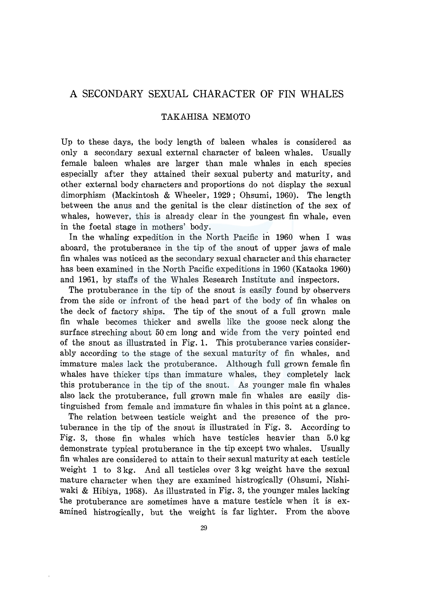# A SECONDARY SEXUAL CHARACTER OF FIN WHALES

## TAKAHISA NEMOTO

Up to these days, the body length of baleen whales is considered as only a secondary sexual external character of baleen whales. Usually female baleen whales are larger than male whales in each species especially after they attained their sexual puberty and maturity, and other external body characters and proportions do not display the sexual dimorphism (Mackintosh & Wheeler, 1929; Ohsumi, 1960). The length between the anus and the genital is the clear distinction of the sex of whales, however, this is already clear in the youngest fin whale, even in the foetal stage in mothers' body.

In the whaling expedition in the North Pacific in 1960 when I was aboard, the protuberance in the tip of the snout of upper jaws of male fin whales was noticed as the secondary sexual character and this character has been examined in the North Pacific expeditions in 1960 (Kataoka 1960) and 1961, by staffs of the Whales Research Institute and inspectors.

The protuberance in the tip of the snout is easily found by observers from the side or infront of the head part of the body of fin whales on the deck of factory ships. The tip of the snout of a full grown male fin whale becomes thicker and swells like the goose neck along the surface streching about 50 cm long and wide from the very pointed end of the snout as illustrated in Fig. 1. This protuberance varies considerably according to the stage of the sexual maturity of fin whales, and immature males lack the protuberance. Although full grown female fin whales have thicker tips than immature whales, they completely lack this protuberance in the tip of the snout. As younger male fin whales also lack the protuberance, full grown male fin whales are easily distinguished from female and immature fin whales in this point at a glance.

The relation between testicle weight and the presence of the protuberance in the tip of the snout is illustrated in Fig. 3. According to Fig. 3, those fin whales which have testicles heavier than 5.0 kg demonstrate typical protuberance in the tip except two whales. Usually fin whales are considered to attain to their sexual maturity at each testicle weight 1 to 3 kg. And all testicles over 3 kg weight have the sexual mature character when they are examined histrogically (Ohsumi, Nishiwaki & Hibiya, 1958). As illustrated in Fig. 3, the younger males lacking the protuberance are sometimes have a mature testicle when it is examined histrogically, but the weight is far lighter. From the above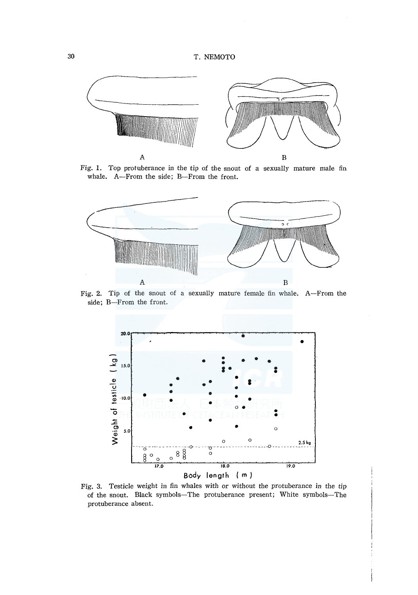

Fig. 1. Top protuberance in the tip of the snout of a sexually mature male fin whale. A-From the side; B-From the front.



Fig. 2. Tip of the snout of a sexually mature female fin whale. A-From the side; B-From the front.



Fig. 3. Testicle weight in fin whales with or without the protuberance in the tip of the snout. Black symbols-The protuberance present; White symbols-The protuberance absent.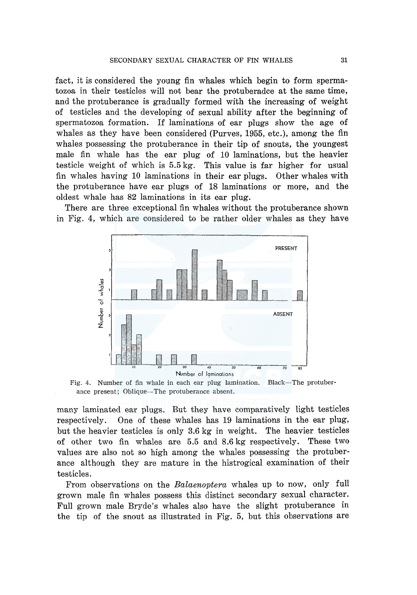fact, it is considered the young fin whales which begin to form spermatozoa in their testicles will not bear the protuberadce at the same time, and the protuberance is gradually formed with the increasing of weight of testicles and the developing of sexual ability after the beginning of spermatozoa formation. If laminations of ear plugs show the age of whales as they have been considered (Purves, 1955, etc.), among the fin whales possessing the protuberance in their tip of snouts, the youngest male fin whale has the ear plug of 10 laminations, but the heavier testicle weight of which is 5.5 kg. This value is far higher for usual fin whales having 10 laminations in their ear plugs. Other whales with the protuberance have ear plugs of 18 laminations or more, and the oldest whale has 82 laminations in its ear plug.

There are three exceptional fin whales without the protuberance shown in Fig. 4, which are considered to be rather older whales as they have



Fig. 4. Number of fin whale in each ear plug lamination. Black-The protuberance present; Oblique-The protuberance absent.

many laminated ear plugs. But they have comparatively light testicles respectively. One of these whales has 19 laminations in the ear plug, but the heavier testicles is only 3.6 kg in weight. The heavier testicles of other two fin whales are 5.5 and 8.6 kg respectively. These two values are also not so high among the whales possessing the protuberance although they are mature in the histrogical examination of their testicles.

From observations on the *Balaenoptera* whales up to now, only full grown male fin whales possess this distinct secondary sexual character. Full grown male Bryde's whales also have the slight protuberance in the tip of the snout as illustrated in Fig. 5, but this observations are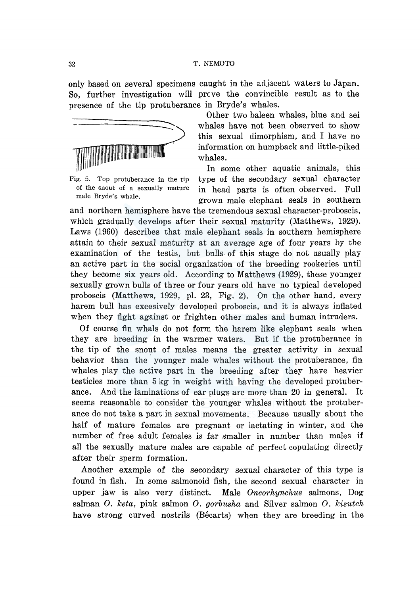only based on several specimens caught in the adjacent waters to Japan. So, further investigation will prcve the convincible result as to the presence of the tip protuberance in Bryde's whales.



Fig. 5. Top protuberance in the tip of the snout of a sexually mature male Bryde's whale.

Other two baleen whales, blue and sei whales have not been observed to show this sexual dimorphism, and I have no information on humpback and little-piked whales.

In some other aquatic animals, this type of the secondary sexual character in head parts is often observed. Full grown male elephant seals in southern

and northern hemisphere have the tremendous sexual character-proboscis, which gradually develops after their sexual maturity (Matthews, 1929). Laws (1960) describes that male elephant seals in southern hemisphere attain to their sexual maturity at an average age of four years by the examination of the testis, but bulls of this stage do not usually play an active part in the social organization of the breeding rookeries until they become six years old. According to Matthews (1929), these younger sexually grown bulls of three or four years old have no typical developed proboscis (Matthews, 1929, pl. 23, Fig. 2). On the other hand, every harem bull has excesively developed proboscis, and it is always inflated when they fight against or frighten other males and human intruders.

Of course fin whals do not form the harem like elephant seals when they are breeding in the warmer waters. But if the protuberance in the tip of the snout of males means the greater activity in sexual behavior than the younger male whales without the protuberance, fin whales play the active part in the breeding after they have heavier testicles more than 5 kg in weight with having the developed protuberance. And the laminations of ear plugs are more than 20 in general. It seems reasonable to consider the younger whales without the protuberance do not take a part in sexual movements. Because usually about the half of mature females are pregnant or lactating in winter, and the number of free adult females is far smaller in number than males if all the sexually mature males are capable of perfect copulating directly after their sperm formation.

Another example of the secondary sexual character of this type is found in fish. In some salmonoid fish, the second sexual character in upper jaw is also very distinct. Male *Oncorhynchus* salmons, Dog salman 0. *keta,* pink salmon 0. *gorbusha* and Silver salmon 0. *kisutch*  have strong curved nostrils (Bécarts) when they are breeding in the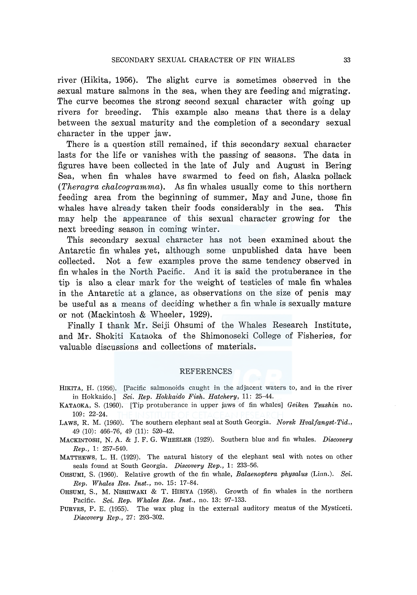river (Hikita, 1956). The slight curve is sometimes observed in the sexual mature salmons in the sea, when they are feeding and migrating. The curve becomes the strong second sexual character with going up rivers for breeding. This example also means that there is a delay between the sexual maturity and the completion of a secondary sexual character in the upper jaw.

There is a question still remained, if this secondary sexual character lasts for the life or vanishes with the passing of seasons. The data in figures have been collected in the late of July and August in Bering Sea, when fin whales have swarmed to feed on fish, Alaska pollack *(Theragra chalcogramma).* As fin whales usually come to this northern feeding area from the beginning of summer, May and June, those fin whales have already taken their foods considerably in the sea. This may help the appearance of this sexual character growing for the next breeding season in coming winter.

This secondary sexual character has not been examined about the Antarctic fin whales yet, although some unpublished data have been collected. Not a few examples prove the same tendency observed in fin whales in the North Pacific. And it is said the protuberance in the tip is also a clear mark for the weight of testicles of male fin whales in the Antarctic at a glance, as observations on the size of penis may be useful as a means of deciding whether a fin whale is sexually mature or not (Mackintosh & Wheeler, 1929).

Finally I thank Mr. Seiji Ohsumi of the Whales Research Institute, and Mr. Shokiti Kataoka of the Shimonoseki College of Fisheries, for valuable discussions and collections of materials.

#### REFERENCES

- HIKITA, H. (1956). [Pacific salmonoids caught in the adjacent waters to, and in the river in Hokkaido.] *Sci. Rep. Hokkaido Fish. Hatchery,* 11: 25-44.
- KATAOKA, S. (1960). [Tip protuberance in upper jaws of fin whales] *Geiken Tsushin* no. 109: 22-24.
- LAWS, R. M. (1960). The southern elephant seal at South Georgia. *Norsk Hvalfangst-Tid.,*  49 (10): 466-76, 49 (11): 520-42.
- MACKINTOSH, N. A. & J. F. G. WHEELER (1929). Southern blue and fin whales. *Discovery Rep.,* 1: 257-540.
- MATTHEWS, L. H. (1929). The natural history of the elephant seal with notes on other seals found at South Georgia. *Discovery Rep.,* 1: 233-56.
- OHSUMI, S. (1960). Relative growth of the fin whale, *Balaenoptera physalus* (Linn.). *Sci. Rep. Whales Res. Inst.,* no. 15: 17-84.
- OHSUMI, S., M. NISHIWAKI & T. HIBIYA (1958). Growth of fin whales in the northern Pacific. *Sci. Rep. Whales Res. Inst.,* no. 13: 97-133.
- PURVES, P. E. (1955). The wax plug in the external auditory meatus of the Mysticeti. *Discovery Rep.,* 27: 293-302.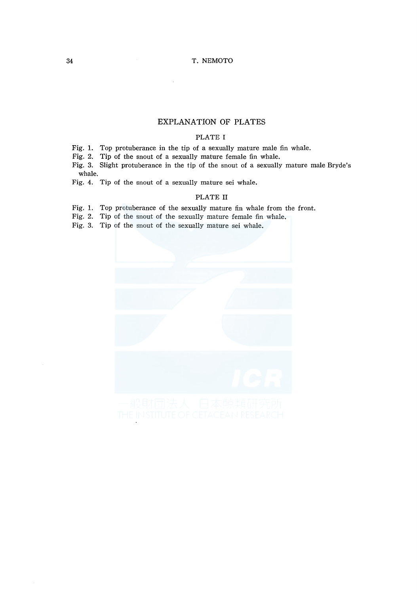### 34 T. NEMOTO

# EXPLANATION OF PLATES

### PLATE I

Fig. 1. Top protuberance in the tip of a sexually mature male fin whale.

Fig. 2. Tip of the snout of a sexually mature female fin whale.

Fig. 3. Slight protuberance in the tip of the snout of a sexually mature male Bryde's whale.

Fig. 4. Tip of the snout of a sexually mature sei whale.

#### PLATE II

Fig. 1. Top protuberance of the sexually mature fin whale from the front.

Fig. 2. Tip of the snout of the sexually mature female fin whale.

Fig. 3. Tip of the snout of the sexually mature sei whale.

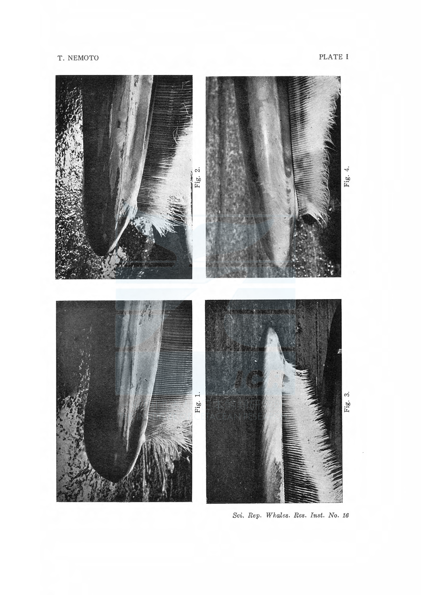

Sci. Rep. Whales. Res. Inst. No. 16